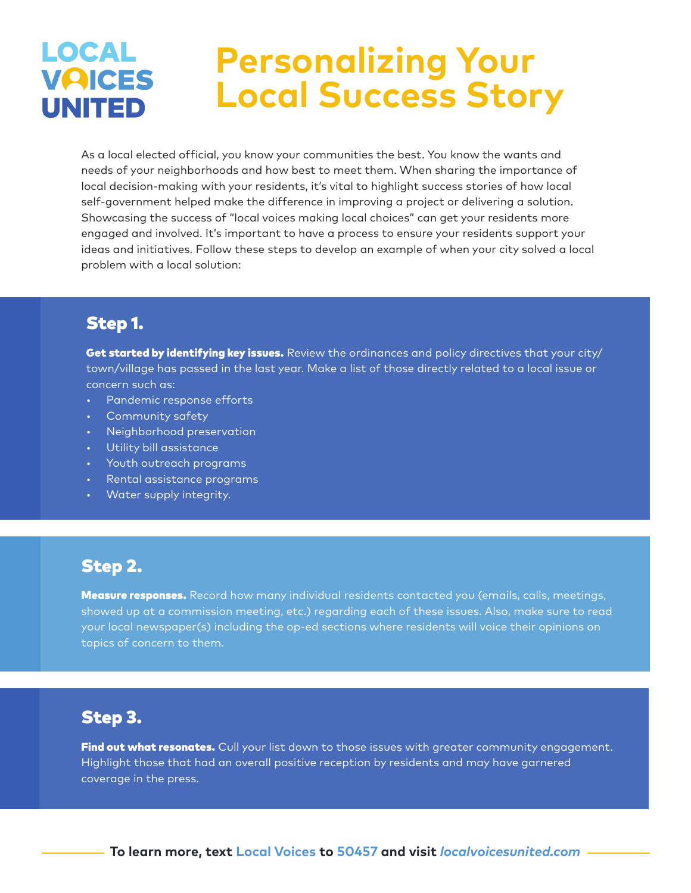### **LOCAL Personalizing Your VAICES Local Success Story UNITED**

As a local elected official, you know your communities the best. You know the wants and needs of your neighborhoods and how best to meet them. When sharing the importance of local decision-making with your residents, it's vital to highlight success stories of how local self-government helped make the difference in improving a project or delivering a solution. Showcasing the success of "local voices making local choices" can get your residents more engaged and involved. It's important to have a process to ensure your residents support your ideas and initiatives. Follow these steps to develop an example of when your city solved a local problem with a local solution:

# Step 1.

Get started by identifying key issues. Review the ordinances and policy directives that your city/ town/village has passed in the last year. Make a list of those directly related to a local issue or concern such as:

- Pandemic response efforts
- Community safety
- Neighborhood preservation
- Utility bill assistance
- Youth outreach programs
- Rental assistance programs
- Water supply integrity.

## Step 2.

Measure responses. Record how many individual residents contacted you (emails, calls, meetings, showed up at a commission meeting, etc.) regarding each of these issues. Also, make sure to read your local newspaper(s) including the op-ed sections where residents will voice their opinions on topics of concern to them.

# Step 3.

Find out what resonates. Cull your list down to those issues with greater community engagement. Highlight those that had an overall positive reception by residents and may have garnered coverage in the press.